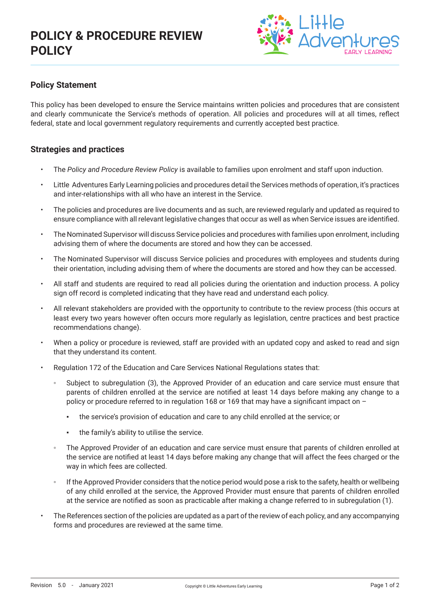

### **Policy Statement**

This policy has been developed to ensure the Service maintains written policies and procedures that are consistent and clearly communicate the Service's methods of operation. All policies and procedures will at all times, reflect federal, state and local government regulatory requirements and currently accepted best practice.

### **Strategies and practices**

- The *Policy and Procedure Review Policy* is available to families upon enrolment and staff upon induction.
- Little Adventures Early Learning policies and procedures detail the Services methods of operation, it's practices and inter-relationships with all who have an interest in the Service.
- The policies and procedures are live documents and as such, are reviewed regularly and updated as required to ensure compliance with all relevant legislative changes that occur as well as when Service issues are identified.
- The Nominated Supervisor will discuss Service policies and procedures with families upon enrolment, including advising them of where the documents are stored and how they can be accessed.
- The Nominated Supervisor will discuss Service policies and procedures with employees and students during their orientation, including advising them of where the documents are stored and how they can be accessed.
- All staff and students are required to read all policies during the orientation and induction process. A policy sign off record is completed indicating that they have read and understand each policy.
- All relevant stakeholders are provided with the opportunity to contribute to the review process (this occurs at least every two years however often occurs more regularly as legislation, centre practices and best practice recommendations change).
- When a policy or procedure is reviewed, staff are provided with an updated copy and asked to read and sign that they understand its content.
- Regulation 172 of the Education and Care Services National Regulations states that:
	- Subject to subregulation (3), the Approved Provider of an education and care service must ensure that parents of children enrolled at the service are notified at least 14 days before making any change to a policy or procedure referred to in regulation 168 or 169 that may have a significant impact on –
		- the service's provision of education and care to any child enrolled at the service; or
		- the family's ability to utilise the service.
	- The Approved Provider of an education and care service must ensure that parents of children enrolled at the service are notified at least 14 days before making any change that will affect the fees charged or the way in which fees are collected.
	- If the Approved Provider considers that the notice period would pose a risk to the safety, health or wellbeing of any child enrolled at the service, the Approved Provider must ensure that parents of children enrolled at the service are notified as soon as practicable after making a change referred to in subregulation (1).
- The References section of the policies are updated as a part of the review of each policy, and any accompanying forms and procedures are reviewed at the same time.